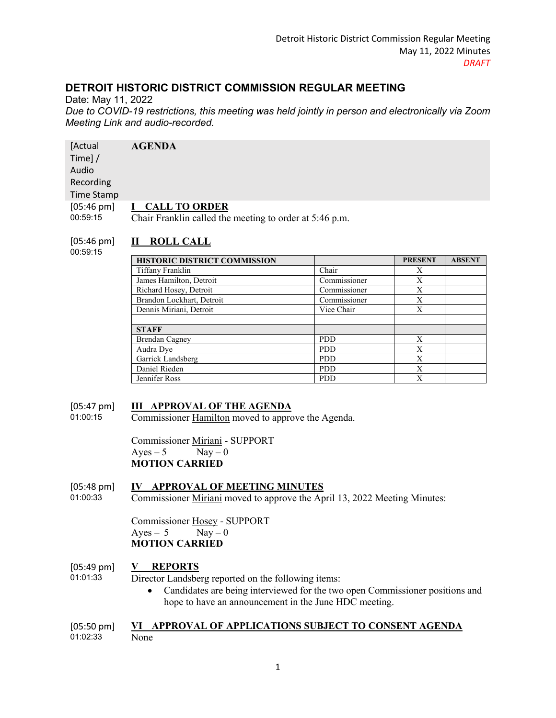# **DETROIT HISTORIC DISTRICT COMMISSION REGULAR MEETING**

Date: May 11, 2022 *Due to COVID-19 restrictions, this meeting was held jointly in person and electronically via Zoom Meeting Link and audio-recorded.* 

| [Actual                          | <b>AGENDA</b>                                                                   |
|----------------------------------|---------------------------------------------------------------------------------|
| Time]/                           |                                                                                 |
| Audio                            |                                                                                 |
| Recording                        |                                                                                 |
| Time Stamp                       |                                                                                 |
| $[05:46 \text{ pm}]$<br>00:59:15 | <b>CALL TO ORDER</b><br>Chair Franklin called the meeting to order at 5:46 p.m. |

#### $[05:46 \text{ pm}]$ **II ROLL CALL**

00:59:15

| <b>HISTORIC DISTRICT COMMISSION</b> |              | <b>PRESENT</b> | <b>ABSENT</b> |
|-------------------------------------|--------------|----------------|---------------|
| Tiffany Franklin                    | Chair        | X              |               |
| James Hamilton, Detroit             | Commissioner | Х              |               |
| Richard Hosey, Detroit              | Commissioner | X              |               |
| Brandon Lockhart, Detroit           | Commissioner | Х              |               |
| Dennis Miriani, Detroit             | Vice Chair   | X              |               |
|                                     |              |                |               |
| <b>STAFF</b>                        |              |                |               |
| <b>Brendan Cagney</b>               | <b>PDD</b>   | X              |               |
| Audra Dye                           | <b>PDD</b>   | X              |               |
| Garrick Landsberg                   | <b>PDD</b>   | X              |               |
| Daniel Rieden                       | <b>PDD</b>   | X              |               |
| Jennifer Ross                       | <b>PDD</b>   | X              |               |

#### [05:47 pm] **III APPROVAL OF THE AGENDA**

01:00:15 Commissioner Hamilton moved to approve the Agenda.

> Commissioner Miriani - SUPPORT  $Ayes - 5$  Nay  $-0$ **MOTION CARRIED**

#### [05:48 pm] **IV APPROVAL OF MEETING MINUTES**

01:00:33 Commissioner Miriani moved to approve the April 13, 2022 Meeting Minutes:

> Commissioner Hosey - SUPPORT  $Ayes - 5$  Nay  $-0$ **MOTION CARRIED**

#### [05:49 pm] **V REPORTS**

01:01:33

- Director Landsberg reported on the following items:
	- Candidates are being interviewed for the two open Commissioner positions and hope to have an announcement in the June HDC meeting.

#### [05:50 pm] 01:02:33 **VI APPROVAL OF APPLICATIONS SUBJECT TO CONSENT AGENDA** None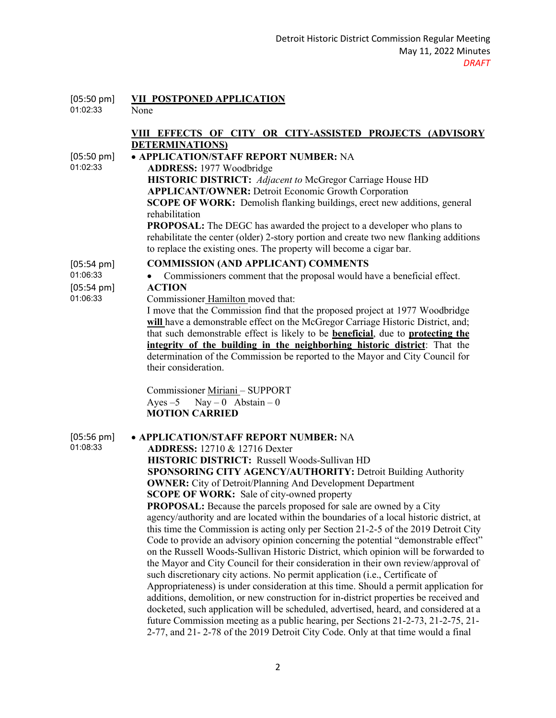| $[05:50 \text{ pm}]$<br>01:02:33                                     | VII POSTPONED APPLICATION<br>None                                                                                                                                                                                                                                                                                                                                                                                                                                                                                                                                                                                                                                                                                                                                                                                                                                                                                                                                                                                                                                                                                                                                                                                                                                                                                                                                                             |
|----------------------------------------------------------------------|-----------------------------------------------------------------------------------------------------------------------------------------------------------------------------------------------------------------------------------------------------------------------------------------------------------------------------------------------------------------------------------------------------------------------------------------------------------------------------------------------------------------------------------------------------------------------------------------------------------------------------------------------------------------------------------------------------------------------------------------------------------------------------------------------------------------------------------------------------------------------------------------------------------------------------------------------------------------------------------------------------------------------------------------------------------------------------------------------------------------------------------------------------------------------------------------------------------------------------------------------------------------------------------------------------------------------------------------------------------------------------------------------|
|                                                                      | VIII EFFECTS OF CITY OR CITY-ASSISTED PROJECTS (ADVISORY<br><b>DETERMINATIONS</b>                                                                                                                                                                                                                                                                                                                                                                                                                                                                                                                                                                                                                                                                                                                                                                                                                                                                                                                                                                                                                                                                                                                                                                                                                                                                                                             |
| $[05:50 \text{ pm}]$<br>01:02:33                                     | • APPLICATION/STAFF REPORT NUMBER: NA<br><b>ADDRESS: 1977 Woodbridge</b><br><b>HISTORIC DISTRICT:</b> Adjacent to McGregor Carriage House HD<br><b>APPLICANT/OWNER: Detroit Economic Growth Corporation</b><br><b>SCOPE OF WORK:</b> Demolish flanking buildings, erect new additions, general<br>rehabilitation<br><b>PROPOSAL:</b> The DEGC has awarded the project to a developer who plans to<br>rehabilitate the center (older) 2-story portion and create two new flanking additions<br>to replace the existing ones. The property will become a cigar bar.                                                                                                                                                                                                                                                                                                                                                                                                                                                                                                                                                                                                                                                                                                                                                                                                                             |
| $[05:54 \text{ pm}]$<br>01:06:33<br>$[05:54 \text{ pm}]$<br>01:06:33 | <b>COMMISSION (AND APPLICANT) COMMENTS</b><br>Commissioners comment that the proposal would have a beneficial effect.<br><b>ACTION</b><br>Commissioner Hamilton moved that:<br>I move that the Commission find that the proposed project at 1977 Woodbridge<br>will have a demonstrable effect on the McGregor Carriage Historic District, and;<br>that such demonstrable effect is likely to be <b>beneficial</b> , due to <b>protecting the</b><br>integrity of the building in the neighborhing historic district: That the<br>determination of the Commission be reported to the Mayor and City Council for<br>their consideration.                                                                                                                                                                                                                                                                                                                                                                                                                                                                                                                                                                                                                                                                                                                                                       |
|                                                                      | Commissioner Miriani - SUPPORT<br>Ayes $-5$ Nay $-0$ Abstain $-0$<br><b>MOTION CARRIED</b>                                                                                                                                                                                                                                                                                                                                                                                                                                                                                                                                                                                                                                                                                                                                                                                                                                                                                                                                                                                                                                                                                                                                                                                                                                                                                                    |
| $[05:56 \text{ pm}]$<br>01:08:33                                     | • APPLICATION/STAFF REPORT NUMBER: NA<br><b>ADDRESS:</b> 12710 & 12716 Dexter<br>HISTORIC DISTRICT: Russell Woods-Sullivan HD<br>SPONSORING CITY AGENCY/AUTHORITY: Detroit Building Authority<br><b>OWNER:</b> City of Detroit/Planning And Development Department<br><b>SCOPE OF WORK:</b> Sale of city-owned property<br><b>PROPOSAL:</b> Because the parcels proposed for sale are owned by a City<br>agency/authority and are located within the boundaries of a local historic district, at<br>this time the Commission is acting only per Section 21-2-5 of the 2019 Detroit City<br>Code to provide an advisory opinion concerning the potential "demonstrable effect"<br>on the Russell Woods-Sullivan Historic District, which opinion will be forwarded to<br>the Mayor and City Council for their consideration in their own review/approval of<br>such discretionary city actions. No permit application (i.e., Certificate of<br>Appropriateness) is under consideration at this time. Should a permit application for<br>additions, demolition, or new construction for in-district properties be received and<br>docketed, such application will be scheduled, advertised, heard, and considered at a<br>future Commission meeting as a public hearing, per Sections 21-2-73, 21-2-75, 21-<br>2-77, and 21-2-78 of the 2019 Detroit City Code. Only at that time would a final |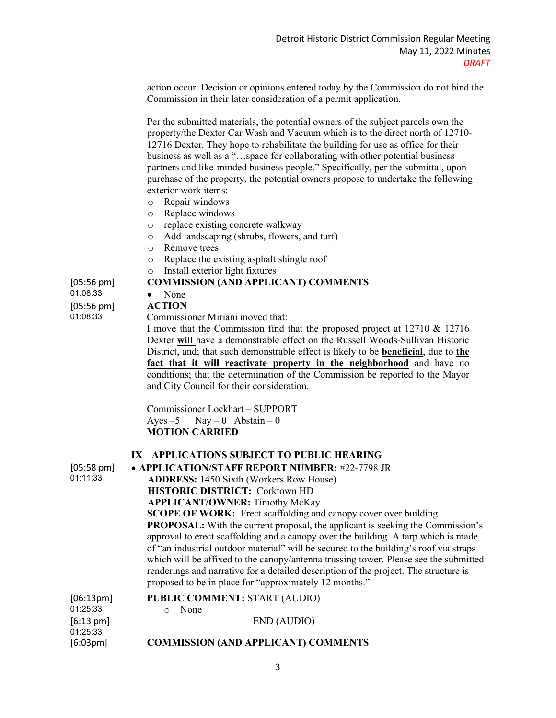action occur. Decision or opinions entered today by the Commission do not bind the Commission in their later consideration of a permit application.

Per the submitted materials, the potential owners of the subject parcels own the property/the Dexter Car Wash and Vacuum which is to the direct north of 12710- 12716 Dexter. They hope to rehabilitate the building for use as office for their business as well as a "…space for collaborating with other potential business partners and like-minded business people." Specifically, per the submittal, upon purchase of the property, the potential owners propose to undertake the following exterior work items:

- o Repair windows
- o Replace windows<br>o replace existing co
- replace existing concrete walkway
- o Add landscaping (shrubs, flowers, and turf)
- o Remove trees
- Replace the existing asphalt shingle roof
- o Install exterior light fixtures

#### **COMMISSION (AND APPLICANT) COMMENTS**

[05:56 pm] 01:08:33 [05:56 pm] 01:08:33

#### • None **ACTION**

Commissioner Miriani moved that:

I move that the Commission find that the proposed project at 12710 & 12716 Dexter **will** have a demonstrable effect on the Russell Woods-Sullivan Historic District, and; that such demonstrable effect is likely to be **beneficial**, due to **the fact that it will reactivate property in the neighborhood** and have no conditions; that the determination of the Commission be reported to the Mayor and City Council for their consideration.

Commissioner Lockhart – SUPPORT Ayes  $-5$  Nay  $-0$  Abstain  $-0$  **MOTION CARRIED**

#### **IX APPLICATIONS SUBJECT TO PUBLIC HEARING**

| $[05:58 \text{ pm}]$            | • APPLICATION/STAFF REPORT NUMBER: #22-7798 JR                                                                                                                                                                                                                                                                                                                                                                                                                                                                 |
|---------------------------------|----------------------------------------------------------------------------------------------------------------------------------------------------------------------------------------------------------------------------------------------------------------------------------------------------------------------------------------------------------------------------------------------------------------------------------------------------------------------------------------------------------------|
| 01:11:33                        | <b>ADDRESS:</b> 1450 Sixth (Workers Row House)                                                                                                                                                                                                                                                                                                                                                                                                                                                                 |
|                                 | <b>HISTORIC DISTRICT: Corktown HD</b>                                                                                                                                                                                                                                                                                                                                                                                                                                                                          |
|                                 | <b>APPLICANT/OWNER:</b> Timothy McKay                                                                                                                                                                                                                                                                                                                                                                                                                                                                          |
|                                 | <b>SCOPE OF WORK:</b> Erect scaffolding and canopy cover over building                                                                                                                                                                                                                                                                                                                                                                                                                                         |
|                                 | <b>PROPOSAL:</b> With the current proposal, the applicant is seeking the Commission's<br>approval to erect scaffolding and a canopy over the building. A tarp which is made<br>of "an industrial outdoor material" will be secured to the building's roof via straps<br>which will be affixed to the canopy/antenna trussing tower. Please see the submitted<br>renderings and narrative for a detailed description of the project. The structure is<br>proposed to be in place for "approximately 12 months." |
| [06:13pm]                       | <b>PUBLIC COMMENT: START (AUDIO)</b>                                                                                                                                                                                                                                                                                                                                                                                                                                                                           |
| 01:25:33                        | None<br>$\circ$                                                                                                                                                                                                                                                                                                                                                                                                                                                                                                |
| $[6:13 \text{ pm}]$<br>01:25:33 | END (AUDIO)                                                                                                                                                                                                                                                                                                                                                                                                                                                                                                    |

[6:03pm] **COMMISSION (AND APPLICANT) COMMENTS**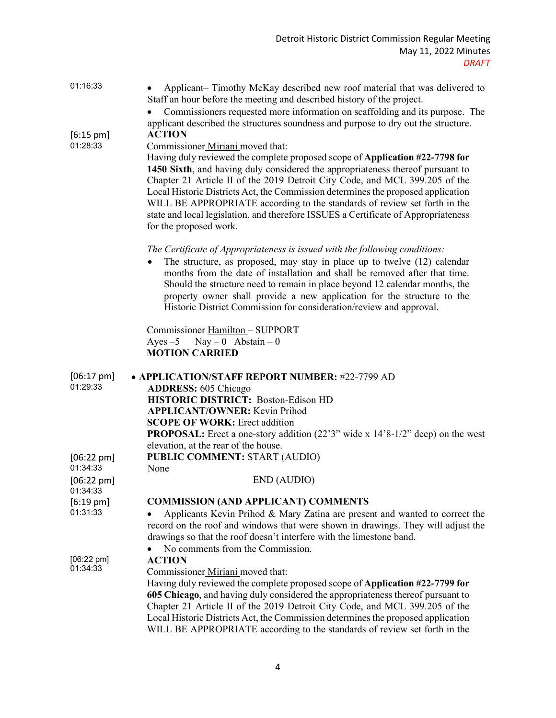| 01:16:33<br>$[6:15 \text{ pm}]$  | Applicant- Timothy McKay described new roof material that was delivered to<br>Staff an hour before the meeting and described history of the project.<br>Commissioners requested more information on scaffolding and its purpose. The<br>applicant described the structures soundness and purpose to dry out the structure.<br><b>ACTION</b>                                                                                                                                                                                                                        |
|----------------------------------|--------------------------------------------------------------------------------------------------------------------------------------------------------------------------------------------------------------------------------------------------------------------------------------------------------------------------------------------------------------------------------------------------------------------------------------------------------------------------------------------------------------------------------------------------------------------|
| 01:28:33                         | Commissioner Miriani moved that:<br>Having duly reviewed the complete proposed scope of Application #22-7798 for<br>1450 Sixth, and having duly considered the appropriateness thereof pursuant to<br>Chapter 21 Article II of the 2019 Detroit City Code, and MCL 399.205 of the<br>Local Historic Districts Act, the Commission determines the proposed application<br>WILL BE APPROPRIATE according to the standards of review set forth in the<br>state and local legislation, and therefore ISSUES a Certificate of Appropriateness<br>for the proposed work. |
|                                  | The Certificate of Appropriateness is issued with the following conditions:<br>The structure, as proposed, may stay in place up to twelve (12) calendar<br>months from the date of installation and shall be removed after that time.<br>Should the structure need to remain in place beyond 12 calendar months, the<br>property owner shall provide a new application for the structure to the<br>Historic District Commission for consideration/review and approval.                                                                                             |
|                                  | Commissioner Hamilton - SUPPORT<br>$\text{Nay} - 0$ Abstain $-0$<br>Ayes $-5$<br><b>MOTION CARRIED</b>                                                                                                                                                                                                                                                                                                                                                                                                                                                             |
|                                  |                                                                                                                                                                                                                                                                                                                                                                                                                                                                                                                                                                    |
| $[06:17 \text{ pm}]$             | • APPLICATION/STAFF REPORT NUMBER: #22-7799 AD                                                                                                                                                                                                                                                                                                                                                                                                                                                                                                                     |
| 01:29:33                         | <b>ADDRESS: 605 Chicago</b>                                                                                                                                                                                                                                                                                                                                                                                                                                                                                                                                        |
|                                  | <b>HISTORIC DISTRICT: Boston-Edison HD</b>                                                                                                                                                                                                                                                                                                                                                                                                                                                                                                                         |
|                                  | <b>APPLICANT/OWNER: Kevin Prihod</b><br><b>SCOPE OF WORK: Erect addition</b>                                                                                                                                                                                                                                                                                                                                                                                                                                                                                       |
|                                  | <b>PROPOSAL:</b> Erect a one-story addition (22'3" wide x 14'8-1/2" deep) on the west                                                                                                                                                                                                                                                                                                                                                                                                                                                                              |
|                                  | elevation, at the rear of the house.                                                                                                                                                                                                                                                                                                                                                                                                                                                                                                                               |
| $[06:22 \text{ pm}]$<br>01:34:33 | <b>PUBLIC COMMENT: START (AUDIO)</b>                                                                                                                                                                                                                                                                                                                                                                                                                                                                                                                               |
| $[06:22 \text{ pm}]$             | None<br>END (AUDIO)                                                                                                                                                                                                                                                                                                                                                                                                                                                                                                                                                |
| 01:34:33                         |                                                                                                                                                                                                                                                                                                                                                                                                                                                                                                                                                                    |
| $[6:19 \text{ pm}]$              | <b>COMMISSION (AND APPLICANT) COMMENTS</b>                                                                                                                                                                                                                                                                                                                                                                                                                                                                                                                         |
| 01:31:33                         | Applicants Kevin Prihod & Mary Zatina are present and wanted to correct the                                                                                                                                                                                                                                                                                                                                                                                                                                                                                        |
|                                  | record on the roof and windows that were shown in drawings. They will adjust the<br>drawings so that the roof doesn't interfere with the limestone band.                                                                                                                                                                                                                                                                                                                                                                                                           |
|                                  | No comments from the Commission.                                                                                                                                                                                                                                                                                                                                                                                                                                                                                                                                   |
| $[06:22 \text{ pm}]$             | <b>ACTION</b>                                                                                                                                                                                                                                                                                                                                                                                                                                                                                                                                                      |
| 01:34:33                         | Commissioner Miriani moved that:                                                                                                                                                                                                                                                                                                                                                                                                                                                                                                                                   |
|                                  | Having duly reviewed the complete proposed scope of Application #22-7799 for                                                                                                                                                                                                                                                                                                                                                                                                                                                                                       |
|                                  | 605 Chicago, and having duly considered the appropriateness thereof pursuant to                                                                                                                                                                                                                                                                                                                                                                                                                                                                                    |
|                                  | Chapter 21 Article II of the 2019 Detroit City Code, and MCL 399.205 of the<br>Local Historic Districts Act, the Commission determines the proposed application<br>WILL BE APPROPRIATE according to the standards of review set forth in the                                                                                                                                                                                                                                                                                                                       |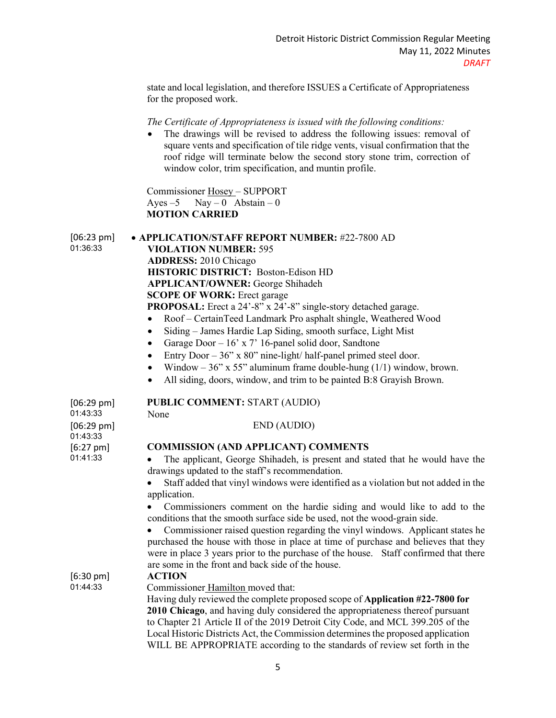state and local legislation, and therefore ISSUES a Certificate of Appropriateness for the proposed work.

#### *The Certificate of Appropriateness is issued with the following conditions:*

The drawings will be revised to address the following issues: removal of square vents and specification of tile ridge vents, visual confirmation that the roof ridge will terminate below the second story stone trim, correction of window color, trim specification, and muntin profile.

Commissioner Hosey – SUPPORT Ayes –5 Nay – 0 Abstain – 0  **MOTION CARRIED**

[06:23 pm] 01:36:33

• **APPLICATION/STAFF REPORT NUMBER:** #22-7800 AD **VIOLATION NUMBER:** 595 **ADDRESS:** 2010 Chicago **HISTORIC DISTRICT:** Boston-Edison HD **APPLICANT/OWNER:** George Shihadeh **SCOPE OF WORK: Erect garage PROPOSAL:** Erect a 24'-8" x 24'-8" single-story detached garage.

- Roof CertainTeed Landmark Pro asphalt shingle, Weathered Wood
- Siding James Hardie Lap Siding, smooth surface, Light Mist
- Garage Door  $-16$ ' x 7' 16-panel solid door, Sandtone
- Entry Door  $-36$ " x 80" nine-light/ half-panel primed steel door.
- Window  $36$ " x 55" aluminum frame double-hung (1/1) window, brown.
- All siding, doors, window, and trim to be painted B:8 Grayish Brown.

| $[06:29 \text{ pm}]$             | <b>PUBLIC COMMENT: START (AUDIO)</b>                                                                                                                                                                                                                                                                             |
|----------------------------------|------------------------------------------------------------------------------------------------------------------------------------------------------------------------------------------------------------------------------------------------------------------------------------------------------------------|
| 01:43:33                         | None                                                                                                                                                                                                                                                                                                             |
| $[06:29 \text{ pm}]$<br>01:43:33 | END (AUDIO)                                                                                                                                                                                                                                                                                                      |
| $[6:27 \text{ pm}]$              | <b>COMMISSION (AND APPLICANT) COMMENTS</b>                                                                                                                                                                                                                                                                       |
| 01:41:33                         | The applicant, George Shihadeh, is present and stated that he would have the<br>drawings updated to the staff's recommendation.                                                                                                                                                                                  |
|                                  | Staff added that vinyl windows were identified as a violation but not added in the<br>application.                                                                                                                                                                                                               |
|                                  | Commissioners comment on the hardie siding and would like to add to the<br>conditions that the smooth surface side be used, not the wood-grain side.                                                                                                                                                             |
|                                  | Commissioner raised question regarding the vinyl windows. Applicant states he<br>purchased the house with those in place at time of purchase and believes that they<br>were in place 3 years prior to the purchase of the house. Staff confirmed that there<br>are some in the front and back side of the house. |
| $[6:30 \text{ pm}]$              | <b>ACTION</b>                                                                                                                                                                                                                                                                                                    |
| 01:44:33                         | Commissioner Hamilton moved that:                                                                                                                                                                                                                                                                                |
|                                  | Having duly reviewed the complete proposed scope of Application #22-7800 for                                                                                                                                                                                                                                     |
|                                  | 2010 Chicago, and having duly considered the appropriateness thereof pursuant                                                                                                                                                                                                                                    |
|                                  | to Chapter 21 Article II of the 2019 Detroit City Code, and MCL 399.205 of the                                                                                                                                                                                                                                   |
|                                  | Local Historic Districts Act, the Commission determines the proposed application                                                                                                                                                                                                                                 |
|                                  | WILL BE APPROPRIATE according to the standards of review set forth in the                                                                                                                                                                                                                                        |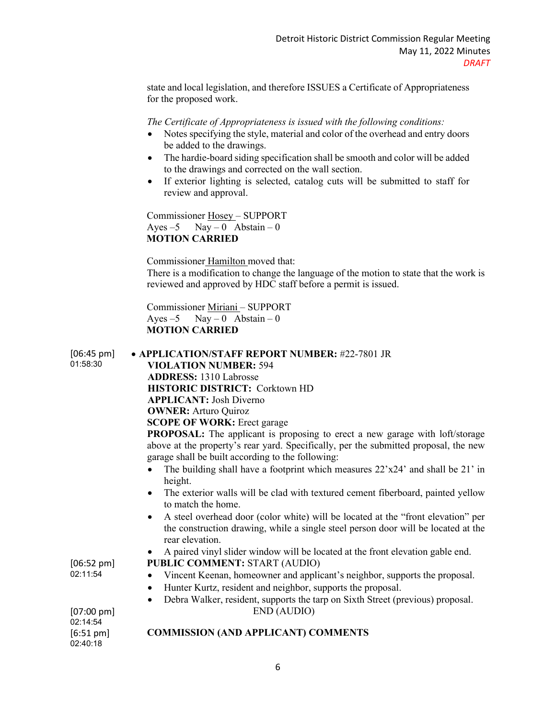state and local legislation, and therefore ISSUES a Certificate of Appropriateness for the proposed work.

*The Certificate of Appropriateness is issued with the following conditions:* 

- Notes specifying the style, material and color of the overhead and entry doors be added to the drawings.
- The hardie-board siding specification shall be smooth and color will be added to the drawings and corrected on the wall section.
- If exterior lighting is selected, catalog cuts will be submitted to staff for review and approval.

Commissioner Hosey – SUPPORT Ayes  $-5$  Nay  $-0$  Abstain  $-0$  **MOTION CARRIED**

Commissioner Hamilton moved that:

There is a modification to change the language of the motion to state that the work is reviewed and approved by HDC staff before a permit is issued.

Commissioner Miriani – SUPPORT Ayes  $-5$  Nay  $-0$  Abstain  $-0$  **MOTION CARRIED**

[06:45 pm] 01:58:30

# • **APPLICATION/STAFF REPORT NUMBER:** #22-7801 JR **VIOLATION NUMBER:** 594 **ADDRESS:** 1310 Labrosse **HISTORIC DISTRICT:** Corktown HD **APPLICANT:** Josh Diverno

**OWNER:** Arturo Quiroz

**SCOPE OF WORK:** Erect garage

**PROPOSAL:** The applicant is proposing to erect a new garage with loft/storage above at the property's rear yard. Specifically, per the submitted proposal, the new garage shall be built according to the following:

- The building shall have a footprint which measures 22'x24' and shall be 21' in height.
- The exterior walls will be clad with textured cement fiberboard, painted yellow to match the home.
- A steel overhead door (color white) will be located at the "front elevation" per the construction drawing, while a single steel person door will be located at the rear elevation.
- A paired vinyl slider window will be located at the front elevation gable end.
- **PUBLIC COMMENT:** START (AUDIO)
- Vincent Keenan, homeowner and applicant's neighbor, supports the proposal.
- Hunter Kurtz, resident and neighbor, supports the proposal.
- Debra Walker, resident, supports the tarp on Sixth Street (previous) proposal. END (AUDIO)

# **COMMISSION (AND APPLICANT) COMMENTS**

02:14:54 [6:51 pm] 02:40:18

[07:00 pm]

[06:52 pm] 02:11:54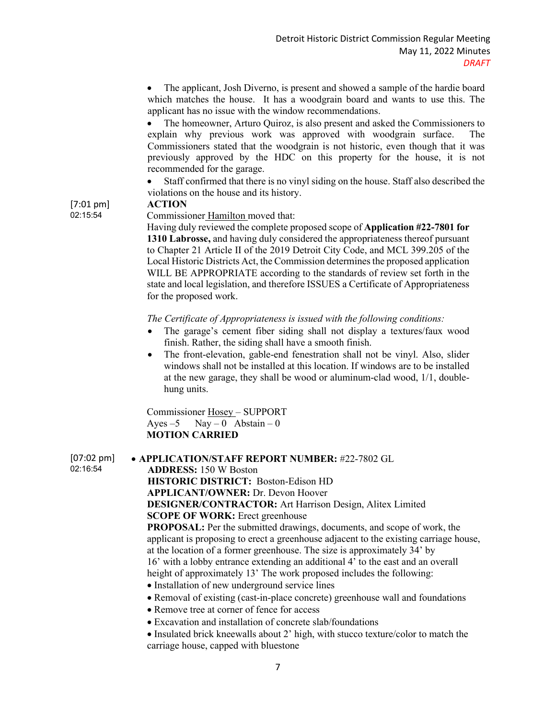• The applicant, Josh Diverno, is present and showed a sample of the hardie board which matches the house. It has a woodgrain board and wants to use this. The applicant has no issue with the window recommendations.

• The homeowner, Arturo Quiroz, is also present and asked the Commissioners to explain why previous work was approved with woodgrain surface. The Commissioners stated that the woodgrain is not historic, even though that it was previously approved by the HDC on this property for the house, it is not recommended for the garage.

• Staff confirmed that there is no vinyl siding on the house. Staff also described the violations on the house and its history.

#### **ACTION**

Commissioner Hamilton moved that:

Having duly reviewed the complete proposed scope of **Application #22-7801 for 1310 Labrosse,** and having duly considered the appropriateness thereof pursuant to Chapter 21 Article II of the 2019 Detroit City Code, and MCL 399.205 of the Local Historic Districts Act, the Commission determines the proposed application WILL BE APPROPRIATE according to the standards of review set forth in the state and local legislation, and therefore ISSUES a Certificate of Appropriateness for the proposed work.

*The Certificate of Appropriateness is issued with the following conditions:* 

- The garage's cement fiber siding shall not display a textures/faux wood finish. Rather, the siding shall have a smooth finish.
- The front-elevation, gable-end fenestration shall not be vinyl. Also, slider windows shall not be installed at this location. If windows are to be installed at the new garage, they shall be wood or aluminum-clad wood, 1/1, doublehung units.

Commissioner Hosey – SUPPORT Ayes  $-5$  Nay  $-0$  Abstain  $-0$  **MOTION CARRIED**

[07:02 pm] 02:16:54

• **APPLICATION/STAFF REPORT NUMBER:** #22-7802 GL **ADDRESS:** 150 W Boston **HISTORIC DISTRICT:** Boston-Edison HD **APPLICANT/OWNER:** Dr. Devon Hoover **DESIGNER/CONTRACTOR:** Art Harrison Design, Alitex Limited **SCOPE OF WORK:** Erect greenhouse **PROPOSAL:** Per the submitted drawings, documents, and scope of work, the

applicant is proposing to erect a greenhouse adjacent to the existing carriage house, at the location of a former greenhouse. The size is approximately 34' by 16' with a lobby entrance extending an additional 4' to the east and an overall height of approximately 13' The work proposed includes the following:

- Installation of new underground service lines
- Removal of existing (cast-in-place concrete) greenhouse wall and foundations
- Remove tree at corner of fence for access
- Excavation and installation of concrete slab/foundations
- Insulated brick kneewalls about 2' high, with stucco texture/color to match the carriage house, capped with bluestone

[7:01 pm] 02:15:54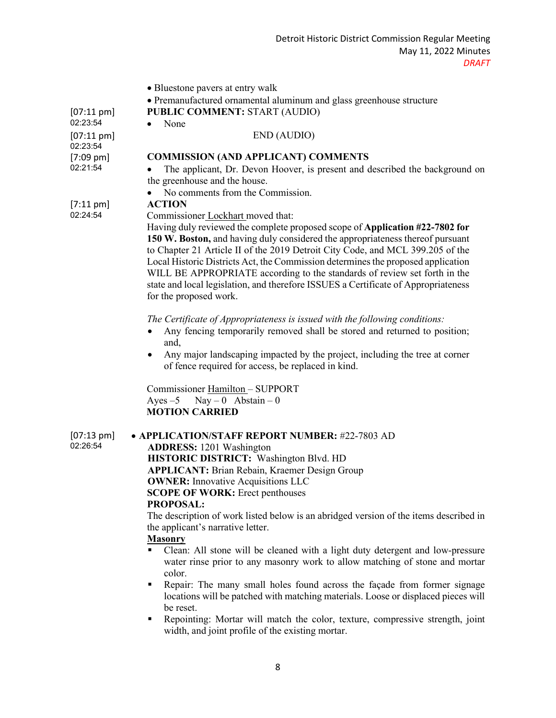- Bluestone pavers at entry walk
- Premanufactured ornamental aluminum and glass greenhouse structure

**PUBLIC COMMENT:** START (AUDIO)

• None

#### END (AUDIO)

#### **COMMISSION (AND APPLICANT) COMMENTS**

• The applicant, Dr. Devon Hoover, is present and described the background on the greenhouse and the house.

• No comments from the Commission.

#### **ACTION**

[7:11 pm] 02:24:54

[07:11 pm] 02:23:54

[07:11 pm] 02:23:54

[7:09 pm] 02:21:54

Commissioner Lockhart moved that:

Having duly reviewed the complete proposed scope of **Application #22-7802 for 150 W. Boston,** and having duly considered the appropriateness thereof pursuant to Chapter 21 Article II of the 2019 Detroit City Code, and MCL 399.205 of the Local Historic Districts Act, the Commission determines the proposed application WILL BE APPROPRIATE according to the standards of review set forth in the state and local legislation, and therefore ISSUES a Certificate of Appropriateness for the proposed work.

*The Certificate of Appropriateness is issued with the following conditions:* 

- Any fencing temporarily removed shall be stored and returned to position; and,
- Any major landscaping impacted by the project, including the tree at corner of fence required for access, be replaced in kind.

Commissioner Hamilton – SUPPORT Ayes  $-5$  Nay  $-0$  Abstain  $-0$  **MOTION CARRIED**

[07:13 pm] 02:26:54

• **APPLICATION/STAFF REPORT NUMBER:** #22-7803 AD **ADDRESS:** 1201 Washington **HISTORIC DISTRICT:** Washington Blvd. HD **APPLICANT:** Brian Rebain, Kraemer Design Group **OWNER:** Innovative Acquisitions LLC **SCOPE OF WORK:** Erect penthouses **PROPOSAL:** The description of work listed below is an abridged version of the items described in the applicant's narrative letter.

# **Masonry**

- Clean: All stone will be cleaned with a light duty detergent and low-pressure water rinse prior to any masonry work to allow matching of stone and mortar color.
- Repair: The many small holes found across the façade from former signage locations will be patched with matching materials. Loose or displaced pieces will be reset.
- Repointing: Mortar will match the color, texture, compressive strength, joint width, and joint profile of the existing mortar.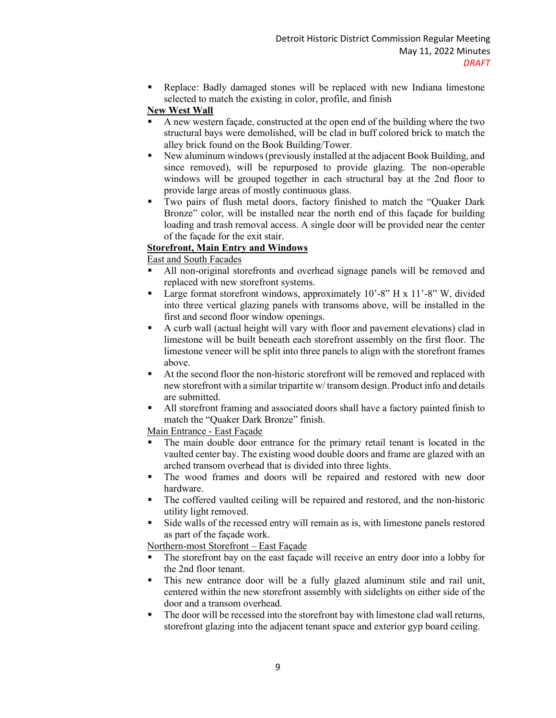Replace: Badly damaged stones will be replaced with new Indiana limestone selected to match the existing in color, profile, and finish

# **New West Wall**

- A new western façade, constructed at the open end of the building where the two structural bays were demolished, will be clad in buff colored brick to match the alley brick found on the Book Building/Tower.
- New aluminum windows (previously installed at the adjacent Book Building, and since removed), will be repurposed to provide glazing. The non-operable windows will be grouped together in each structural bay at the 2nd floor to provide large areas of mostly continuous glass.
- Two pairs of flush metal doors, factory finished to match the "Quaker Dark Bronze" color, will be installed near the north end of this façade for building loading and trash removal access. A single door will be provided near the center of the façade for the exit stair.

# **Storefront, Main Entry and Windows**

East and South Facades

- All non-original storefronts and overhead signage panels will be removed and replaced with new storefront systems.
- **Large format storefront windows, approximately 10'-8" H x 11'-8" W, divided** into three vertical glazing panels with transoms above, will be installed in the first and second floor window openings.
- A curb wall (actual height will vary with floor and pavement elevations) clad in limestone will be built beneath each storefront assembly on the first floor. The limestone veneer will be split into three panels to align with the storefront frames above.
- At the second floor the non-historic storefront will be removed and replaced with new storefront with a similar tripartite w/ transom design. Product info and details are submitted.
- All storefront framing and associated doors shall have a factory painted finish to match the "Quaker Dark Bronze" finish.

Main Entrance - East Façade

- The main double door entrance for the primary retail tenant is located in the vaulted center bay. The existing wood double doors and frame are glazed with an arched transom overhead that is divided into three lights.
- The wood frames and doors will be repaired and restored with new door hardware.
- The coffered vaulted ceiling will be repaired and restored, and the non-historic utility light removed.
- Side walls of the recessed entry will remain as is, with limestone panels restored as part of the façade work.

Northern-most Storefront – East Façade

- The storefront bay on the east façade will receive an entry door into a lobby for the 2nd floor tenant.
- This new entrance door will be a fully glazed aluminum stile and rail unit, centered within the new storefront assembly with sidelights on either side of the door and a transom overhead.
- The door will be recessed into the storefront bay with limestone clad wall returns, storefront glazing into the adjacent tenant space and exterior gyp board ceiling.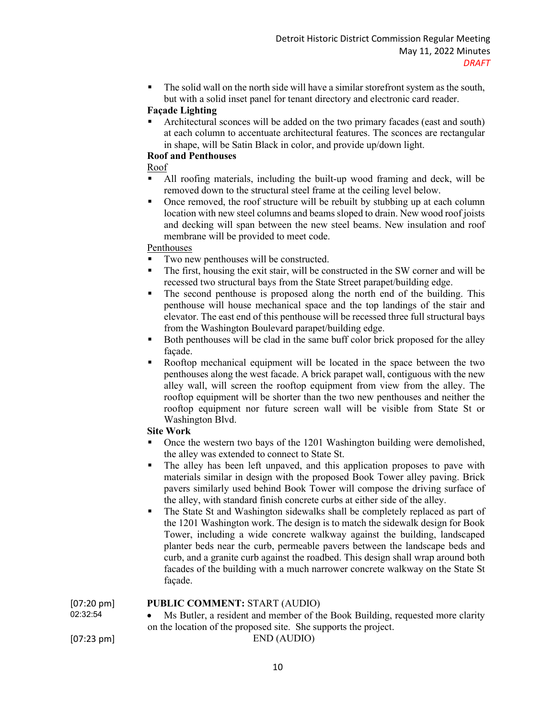The solid wall on the north side will have a similar storefront system as the south, but with a solid inset panel for tenant directory and electronic card reader.

# **Façade Lighting**

 Architectural sconces will be added on the two primary facades (east and south) at each column to accentuate architectural features. The sconces are rectangular in shape, will be Satin Black in color, and provide up/down light.

## **Roof and Penthouses**

Roof

- All roofing materials, including the built-up wood framing and deck, will be removed down to the structural steel frame at the ceiling level below.
- Once removed, the roof structure will be rebuilt by stubbing up at each column location with new steel columns and beams sloped to drain. New wood roof joists and decking will span between the new steel beams. New insulation and roof membrane will be provided to meet code.

## Penthouses

- Two new penthouses will be constructed.
- The first, housing the exit stair, will be constructed in the SW corner and will be recessed two structural bays from the State Street parapet/building edge.
- The second penthouse is proposed along the north end of the building. This penthouse will house mechanical space and the top landings of the stair and elevator. The east end of this penthouse will be recessed three full structural bays from the Washington Boulevard parapet/building edge.
- Both penthouses will be clad in the same buff color brick proposed for the alley façade.
- Rooftop mechanical equipment will be located in the space between the two penthouses along the west facade. A brick parapet wall, contiguous with the new alley wall, will screen the rooftop equipment from view from the alley. The rooftop equipment will be shorter than the two new penthouses and neither the rooftop equipment nor future screen wall will be visible from State St or Washington Blvd.

## **Site Work**

- Once the western two bays of the 1201 Washington building were demolished, the alley was extended to connect to State St.
- The alley has been left unpaved, and this application proposes to pave with materials similar in design with the proposed Book Tower alley paving. Brick pavers similarly used behind Book Tower will compose the driving surface of the alley, with standard finish concrete curbs at either side of the alley.
- The State St and Washington sidewalks shall be completely replaced as part of the 1201 Washington work. The design is to match the sidewalk design for Book Tower, including a wide concrete walkway against the building, landscaped planter beds near the curb, permeable pavers between the landscape beds and curb, and a granite curb against the roadbed. This design shall wrap around both facades of the building with a much narrower concrete walkway on the State St façade.

## **PUBLIC COMMENT:** START (AUDIO)

• Ms Butler, a resident and member of the Book Building, requested more clarity on the location of the proposed site. She supports the project.

[07:23 pm] END (AUDIO)

10

02:32:54

[07:20 pm]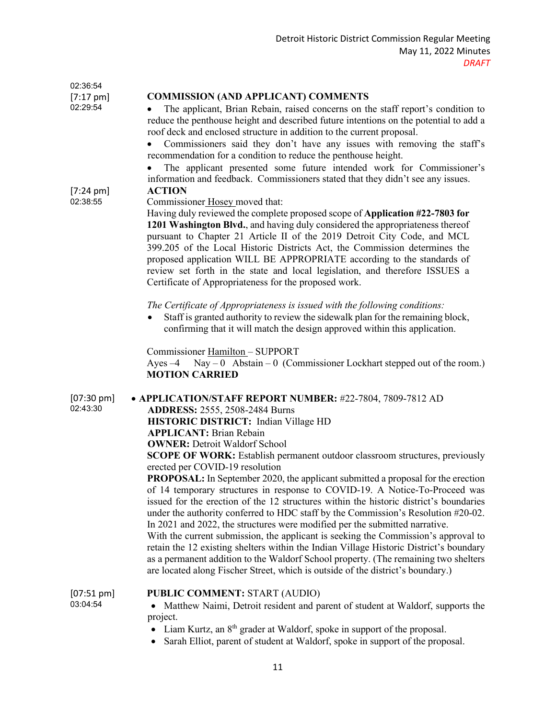| 02:36:54                         |                                                                                                                                                                                                                                                                                                                                                                                                                                                                                                                                                                                                                                                                                                     |
|----------------------------------|-----------------------------------------------------------------------------------------------------------------------------------------------------------------------------------------------------------------------------------------------------------------------------------------------------------------------------------------------------------------------------------------------------------------------------------------------------------------------------------------------------------------------------------------------------------------------------------------------------------------------------------------------------------------------------------------------------|
| $[7:17 \text{ pm}]$<br>02:29:54  | <b>COMMISSION (AND APPLICANT) COMMENTS</b><br>The applicant, Brian Rebain, raised concerns on the staff report's condition to<br>reduce the penthouse height and described future intentions on the potential to add a<br>roof deck and enclosed structure in addition to the current proposal.                                                                                                                                                                                                                                                                                                                                                                                                     |
|                                  | Commissioners said they don't have any issues with removing the staff's<br>recommendation for a condition to reduce the penthouse height.<br>The applicant presented some future intended work for Commissioner's                                                                                                                                                                                                                                                                                                                                                                                                                                                                                   |
| $[7:24 \text{ pm}]$<br>02:38:55  | information and feedback. Commissioners stated that they didn't see any issues.<br><b>ACTION</b><br>Commissioner Hosey moved that:<br>Having duly reviewed the complete proposed scope of Application #22-7803 for<br>1201 Washington Blvd., and having duly considered the appropriateness thereof<br>pursuant to Chapter 21 Article II of the 2019 Detroit City Code, and MCL<br>399.205 of the Local Historic Districts Act, the Commission determines the<br>proposed application WILL BE APPROPRIATE according to the standards of<br>review set forth in the state and local legislation, and therefore ISSUES a<br>Certificate of Appropriateness for the proposed work.                     |
|                                  | The Certificate of Appropriateness is issued with the following conditions:<br>Staff is granted authority to review the sidewalk plan for the remaining block,<br>$\bullet$<br>confirming that it will match the design approved within this application.                                                                                                                                                                                                                                                                                                                                                                                                                                           |
|                                  | Commissioner Hamilton - SUPPORT<br>$\text{Nay}-0$ Abstain - 0 (Commissioner Lockhart stepped out of the room.)<br>Ayes $-4$<br><b>MOTION CARRIED</b>                                                                                                                                                                                                                                                                                                                                                                                                                                                                                                                                                |
| $[07:30 \text{ pm}]$<br>02:43:30 | • APPLICATION/STAFF REPORT NUMBER: #22-7804, 7809-7812 AD<br><b>ADDRESS: 2555, 2508-2484 Burns</b><br>HISTORIC DISTRICT: Indian Village HD<br><b>APPLICANT: Brian Rebain</b><br><b>OWNER: Detroit Waldorf School</b><br><b>SCOPE OF WORK:</b> Establish permanent outdoor classroom structures, previously<br>erected per COVID-19 resolution<br>PROPOSAL: In September 2020, the applicant submitted a proposal for the erection                                                                                                                                                                                                                                                                   |
|                                  | of 14 temporary structures in response to COVID-19. A Notice-To-Proceed was<br>issued for the erection of the 12 structures within the historic district's boundaries<br>under the authority conferred to HDC staff by the Commission's Resolution #20-02.<br>In 2021 and 2022, the structures were modified per the submitted narrative.<br>With the current submission, the applicant is seeking the Commission's approval to<br>retain the 12 existing shelters within the Indian Village Historic District's boundary<br>as a permanent addition to the Waldorf School property. (The remaining two shelters<br>are located along Fischer Street, which is outside of the district's boundary.) |
| $[07:51 \text{ pm}]$<br>03:04:54 | <b>PUBLIC COMMENT: START (AUDIO)</b><br>• Matthew Naimi, Detroit resident and parent of student at Waldorf, supports the<br>project.<br>• Liam Kurtz, an 8 <sup>th</sup> grader at Waldorf, spoke in support of the proposal.<br>Sarah Elliot, parent of student at Waldorf, spoke in support of the proposal.                                                                                                                                                                                                                                                                                                                                                                                      |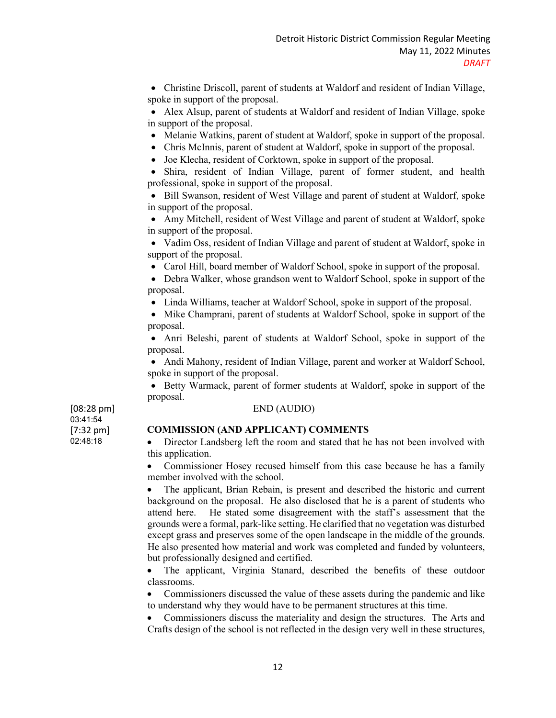• Christine Driscoll, parent of students at Waldorf and resident of Indian Village, spoke in support of the proposal.

• Alex Alsup, parent of students at Waldorf and resident of Indian Village, spoke in support of the proposal.

- Melanie Watkins, parent of student at Waldorf, spoke in support of the proposal.
- Chris McInnis, parent of student at Waldorf, spoke in support of the proposal.
- Joe Klecha, resident of Corktown, spoke in support of the proposal.

• Shira, resident of Indian Village, parent of former student, and health professional, spoke in support of the proposal.

• Bill Swanson, resident of West Village and parent of student at Waldorf, spoke in support of the proposal.

• Amy Mitchell, resident of West Village and parent of student at Waldorf, spoke in support of the proposal.

• Vadim Oss, resident of Indian Village and parent of student at Waldorf, spoke in support of the proposal.

• Carol Hill, board member of Waldorf School, spoke in support of the proposal.

• Debra Walker, whose grandson went to Waldorf School, spoke in support of the proposal.

• Linda Williams, teacher at Waldorf School, spoke in support of the proposal.

• Mike Champrani, parent of students at Waldorf School, spoke in support of the proposal.

• Anri Beleshi, parent of students at Waldorf School, spoke in support of the proposal.

• Andi Mahony, resident of Indian Village, parent and worker at Waldorf School, spoke in support of the proposal.

• Betty Warmack, parent of former students at Waldorf, spoke in support of the proposal.

# END (AUDIO)

[08:28 pm] 03:41:54 [7:32 pm] 02:48:18

## **COMMISSION (AND APPLICANT) COMMENTS**

• Director Landsberg left the room and stated that he has not been involved with this application.

• Commissioner Hosey recused himself from this case because he has a family member involved with the school.

The applicant, Brian Rebain, is present and described the historic and current background on the proposal. He also disclosed that he is a parent of students who attend here. He stated some disagreement with the staff's assessment that the grounds were a formal, park-like setting. He clarified that no vegetation was disturbed except grass and preserves some of the open landscape in the middle of the grounds. He also presented how material and work was completed and funded by volunteers, but professionally designed and certified.

• The applicant, Virginia Stanard, described the benefits of these outdoor classrooms.

• Commissioners discussed the value of these assets during the pandemic and like to understand why they would have to be permanent structures at this time.

• Commissioners discuss the materiality and design the structures. The Arts and Crafts design of the school is not reflected in the design very well in these structures,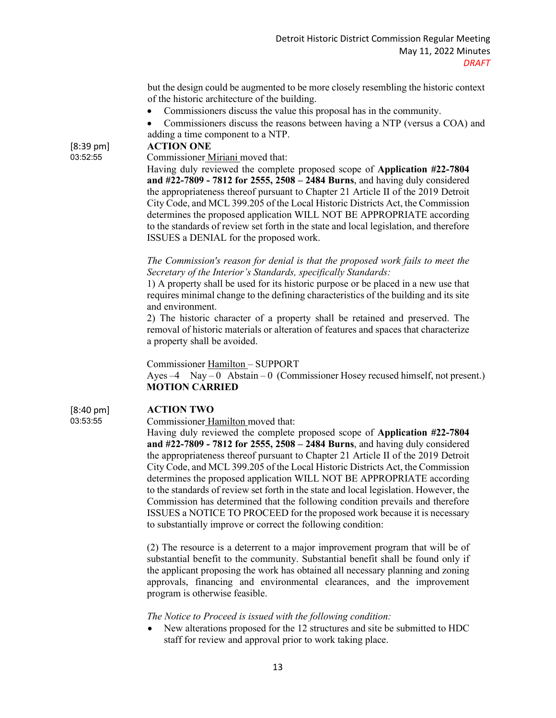but the design could be augmented to be more closely resembling the historic context of the historic architecture of the building.

- Commissioners discuss the value this proposal has in the community.
- Commissioners discuss the reasons between having a NTP (versus a COA) and adding a time component to a NTP.

[8:39 pm] 03:52:55 **ACTION ONE**

Commissioner Miriani moved that:

Having duly reviewed the complete proposed scope of **Application #22-7804 and #22-7809 - 7812 for 2555, 2508 – 2484 Burns**, and having duly considered the appropriateness thereof pursuant to Chapter 21 Article II of the 2019 Detroit City Code, and MCL 399.205 of the Local Historic Districts Act, the Commission determines the proposed application WILL NOT BE APPROPRIATE according to the standards of review set forth in the state and local legislation, and therefore ISSUES a DENIAL for the proposed work.

*The Commission's reason for denial is that the proposed work fails to meet the Secretary of the Interior's Standards, specifically Standards:* 

1) A property shall be used for its historic purpose or be placed in a new use that requires minimal change to the defining characteristics of the building and its site and environment.

2) The historic character of a property shall be retained and preserved. The removal of historic materials or alteration of features and spaces that characterize a property shall be avoided.

Commissioner Hamilton – SUPPORT

Ayes  $-4$  Nay  $-0$  Abstain  $-0$  (Commissioner Hosey recused himself, not present.)  **MOTION CARRIED**

[8:40 pm] 03:53:55

## **ACTION TWO**

Commissioner Hamilton moved that:

Having duly reviewed the complete proposed scope of **Application #22-7804 and #22-7809 - 7812 for 2555, 2508 – 2484 Burns**, and having duly considered the appropriateness thereof pursuant to Chapter 21 Article II of the 2019 Detroit City Code, and MCL 399.205 of the Local Historic Districts Act, the Commission determines the proposed application WILL NOT BE APPROPRIATE according to the standards of review set forth in the state and local legislation. However, the Commission has determined that the following condition prevails and therefore ISSUES a NOTICE TO PROCEED for the proposed work because it is necessary to substantially improve or correct the following condition:

(2) The resource is a deterrent to a major improvement program that will be of substantial benefit to the community. Substantial benefit shall be found only if the applicant proposing the work has obtained all necessary planning and zoning approvals, financing and environmental clearances, and the improvement program is otherwise feasible.

## *The Notice to Proceed is issued with the following condition:*

• New alterations proposed for the 12 structures and site be submitted to HDC staff for review and approval prior to work taking place.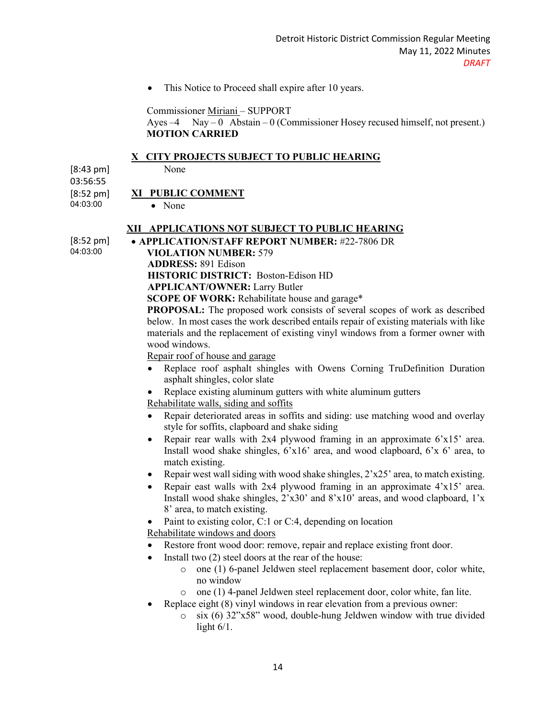• This Notice to Proceed shall expire after 10 years.

Commissioner Miriani – SUPPORT

Ayes  $-4$  Nay – 0 Abstain – 0 (Commissioner Hosey recused himself, not present.)  **MOTION CARRIED**

#### **X CITY PROJECTS SUBJECT TO PUBLIC HEARING**

None

[8:43 pm] 03:56:55 [8:52 pm] 04:03:00

## **XI PUBLIC COMMENT**

• None

#### **XII APPLICATIONS NOT SUBJECT TO PUBLIC HEARING**

[8:52 pm] 04:03:00

• **APPLICATION/STAFF REPORT NUMBER:** #22-7806 DR **VIOLATION NUMBER:** 579

**ADDRESS:** 891 Edison

**HISTORIC DISTRICT:** Boston-Edison HD

**APPLICANT/OWNER:** Larry Butler

**SCOPE OF WORK:** Rehabilitate house and garage\*

**PROPOSAL:** The proposed work consists of several scopes of work as described below. In most cases the work described entails repair of existing materials with like materials and the replacement of existing vinyl windows from a former owner with wood windows.

Repair roof of house and garage

- Replace roof asphalt shingles with Owens Corning TruDefinition Duration asphalt shingles, color slate
- Replace existing aluminum gutters with white aluminum gutters

Rehabilitate walls, siding and soffits

- Repair deteriorated areas in soffits and siding: use matching wood and overlay style for soffits, clapboard and shake siding
- Repair rear walls with 2x4 plywood framing in an approximate 6'x15' area. Install wood shake shingles, 6'x16' area, and wood clapboard, 6'x 6' area, to match existing.
- Repair west wall siding with wood shake shingles, 2'x25' area, to match existing.
- Repair east walls with 2x4 plywood framing in an approximate 4'x15' area. Install wood shake shingles, 2'x30' and 8'x10' areas, and wood clapboard, 1'x 8' area, to match existing.
- Paint to existing color, C:1 or C:4, depending on location

Rehabilitate windows and doors

- Restore front wood door: remove, repair and replace existing front door.
- Install two  $(2)$  steel doors at the rear of the house:
	- o one (1) 6-panel Jeldwen steel replacement basement door, color white, no window
	- o one (1) 4-panel Jeldwen steel replacement door, color white, fan lite.
- Replace eight (8) vinyl windows in rear elevation from a previous owner:
	- o six (6) 32"x58" wood, double-hung Jeldwen window with true divided light  $6/1$ .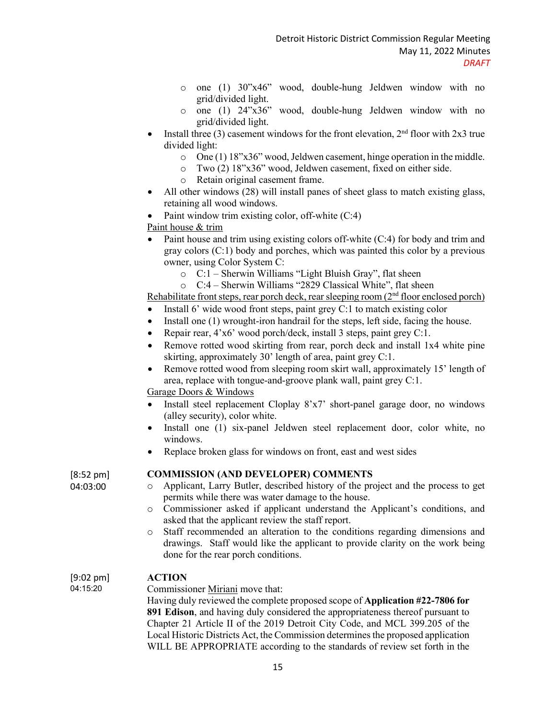- o one (1) 30"x46" wood, double-hung Jeldwen window with no grid/divided light.
- o one (1) 24"x36" wood, double-hung Jeldwen window with no grid/divided light.
- Install three (3) casement windows for the front elevation,  $2<sup>nd</sup>$  floor with  $2x3$  true divided light:
	- o One (1) 18"x36" wood, Jeldwen casement, hinge operation in the middle.
	- o Two (2) 18"x36" wood, Jeldwen casement, fixed on either side.
	- o Retain original casement frame.
- All other windows (28) will install panes of sheet glass to match existing glass, retaining all wood windows.
- Paint window trim existing color, off-white  $(C:4)$

Paint house & trim

- Paint house and trim using existing colors off-white (C:4) for body and trim and gray colors (C:1) body and porches, which was painted this color by a previous owner, using Color System C:
	- o C:1 Sherwin Williams "Light Bluish Gray", flat sheen
	- o C:4 Sherwin Williams "2829 Classical White", flat sheen

Rehabilitate front steps, rear porch deck, rear sleeping room  $(2<sup>nd</sup>$  floor enclosed porch)

- Install 6' wide wood front steps, paint grey C:1 to match existing color
- Install one (1) wrought-iron handrail for the steps, left side, facing the house.
- Repair rear, 4'x6' wood porch/deck, install 3 steps, paint grey C:1.
- Remove rotted wood skirting from rear, porch deck and install 1x4 white pine skirting, approximately 30' length of area, paint grey C:1.
- Remove rotted wood from sleeping room skirt wall, approximately 15' length of area, replace with tongue-and-groove plank wall, paint grey C:1.

Garage Doors & Windows

- Install steel replacement Cloplay 8'x7' short-panel garage door, no windows (alley security), color white.
- Install one (1) six-panel Jeldwen steel replacement door, color white, no windows.
- Replace broken glass for windows on front, east and west sides

[8:52 pm] 04:03:00

# **COMMISSION (AND DEVELOPER) COMMENTS**

- o Applicant, Larry Butler, described history of the project and the process to get permits while there was water damage to the house.
- o Commissioner asked if applicant understand the Applicant's conditions, and asked that the applicant review the staff report.
- o Staff recommended an alteration to the conditions regarding dimensions and drawings. Staff would like the applicant to provide clarity on the work being done for the rear porch conditions.

#### [9:02 pm] **ACTION**

04:15:20

Commissioner Miriani move that: Having duly reviewed the complete proposed scope of **Application #22-7806 for 891 Edison**, and having duly considered the appropriateness thereof pursuant to Chapter 21 Article II of the 2019 Detroit City Code, and MCL 399.205 of the Local Historic Districts Act, the Commission determines the proposed application WILL BE APPROPRIATE according to the standards of review set forth in the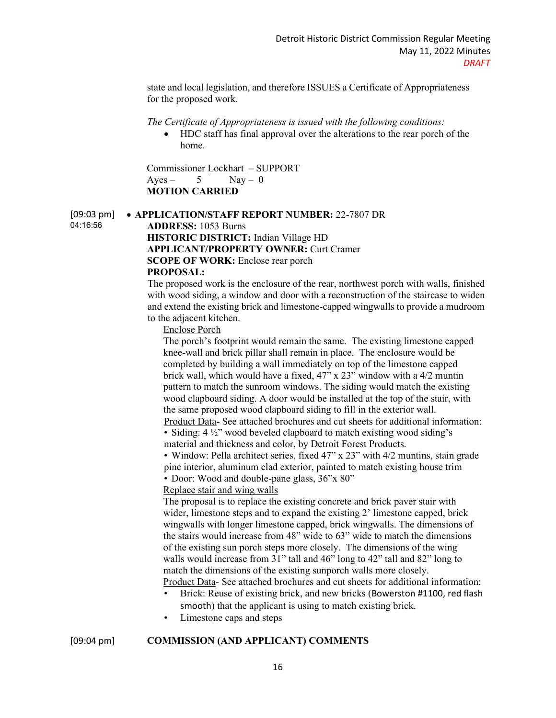state and local legislation, and therefore ISSUES a Certificate of Appropriateness for the proposed work.

#### *The Certificate of Appropriateness is issued with the following conditions:*

• HDC staff has final approval over the alterations to the rear porch of the home.

Commissioner Lockhart – SUPPORT  $Aves - 5$  Nav – 0  **MOTION CARRIED**

[09:03 pm] 04:16:56 • **APPLICATION/STAFF REPORT NUMBER:** 22-7807 DR **ADDRESS:** 1053 Burns **HISTORIC DISTRICT:** Indian Village HD

**APPLICANT/PROPERTY OWNER:** Curt Cramer **SCOPE OF WORK:** Enclose rear porch

#### **PROPOSAL:**

The proposed work is the enclosure of the rear, northwest porch with walls, finished with wood siding, a window and door with a reconstruction of the staircase to widen and extend the existing brick and limestone-capped wingwalls to provide a mudroom to the adjacent kitchen.

Enclose Porch

The porch's footprint would remain the same. The existing limestone capped knee-wall and brick pillar shall remain in place. The enclosure would be completed by building a wall immediately on top of the limestone capped brick wall, which would have a fixed, 47" x 23" window with a 4/2 muntin pattern to match the sunroom windows. The siding would match the existing wood clapboard siding. A door would be installed at the top of the stair, with the same proposed wood clapboard siding to fill in the exterior wall. Product Data- See attached brochures and cut sheets for additional information: • Siding: 4  $\frac{1}{2}$ " wood beveled clapboard to match existing wood siding's

material and thickness and color, by Detroit Forest Products.

• Window: Pella architect series, fixed 47" x 23" with 4/2 muntins, stain grade pine interior, aluminum clad exterior, painted to match existing house trim • Door: Wood and double-pane glass, 36"x 80"

#### Replace stair and wing walls

The proposal is to replace the existing concrete and brick paver stair with wider, limestone steps and to expand the existing 2' limestone capped, brick wingwalls with longer limestone capped, brick wingwalls. The dimensions of the stairs would increase from 48" wide to 63" wide to match the dimensions of the existing sun porch steps more closely. The dimensions of the wing walls would increase from  $31$ " tall and  $46$ " long to  $42$ " tall and  $82$ " long to match the dimensions of the existing sunporch walls more closely. Product Data- See attached brochures and cut sheets for additional information:

- Brick: Reuse of existing brick, and new bricks (Bowerston #1100, red flash smooth) that the applicant is using to match existing brick.
- Limestone caps and steps

## [09:04 pm] **COMMISSION (AND APPLICANT) COMMENTS**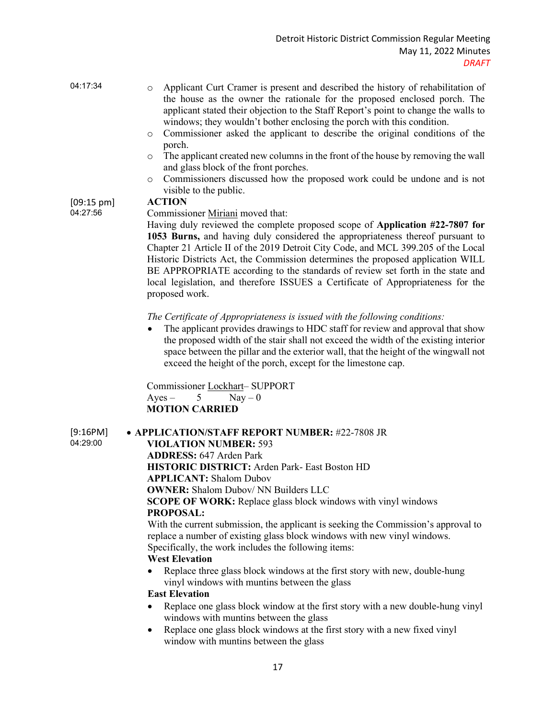| 04:17:34             | Applicant Curt Cramer is present and described the history of rehabilitation of<br>$\circ$<br>the house as the owner the rationale for the proposed enclosed porch. The<br>applicant stated their objection to the Staff Report's point to change the walls to<br>windows; they wouldn't bother enclosing the porch with this condition. |  |  |
|----------------------|------------------------------------------------------------------------------------------------------------------------------------------------------------------------------------------------------------------------------------------------------------------------------------------------------------------------------------------|--|--|
|                      | Commissioner asked the applicant to describe the original conditions of the<br>$\circ$<br>porch.                                                                                                                                                                                                                                         |  |  |
|                      | The applicant created new columns in the front of the house by removing the wall<br>$\circ$<br>and glass block of the front porches.                                                                                                                                                                                                     |  |  |
|                      | Commissioners discussed how the proposed work could be undone and is not<br>$\circ$<br>visible to the public.                                                                                                                                                                                                                            |  |  |
| $[09:15 \text{ pm}]$ | <b>ACTION</b>                                                                                                                                                                                                                                                                                                                            |  |  |
| 04:27:56             | Commissioner Miriani moved that:                                                                                                                                                                                                                                                                                                         |  |  |
|                      | Having duly reviewed the complete proposed scope of Application #22-7807 for                                                                                                                                                                                                                                                             |  |  |
|                      | 1053 Burns, and having duly considered the appropriateness thereof pursuant to                                                                                                                                                                                                                                                           |  |  |
|                      | Chapter 21 Article II of the 2019 Detroit City Code, and MCL 399.205 of the Local                                                                                                                                                                                                                                                        |  |  |
|                      | Historic Districts Act, the Commission determines the proposed application WILL                                                                                                                                                                                                                                                          |  |  |
|                      | BE APPROPRIATE according to the standards of review set forth in the state and                                                                                                                                                                                                                                                           |  |  |

*The Certificate of Appropriateness is issued with the following conditions:* 

The applicant provides drawings to HDC staff for review and approval that show the proposed width of the stair shall not exceed the width of the existing interior space between the pillar and the exterior wall, that the height of the wingwall not exceed the height of the porch, except for the limestone cap.

local legislation, and therefore ISSUES a Certificate of Appropriateness for the

Commissioner Lockhart– SUPPORT Ayes – 5 Nay – 0  **MOTION CARRIED**

[9:16PM] 04:29:00

#### • **APPLICATION/STAFF REPORT NUMBER:** #22-7808 JR

**VIOLATION NUMBER:** 593

**ADDRESS:** 647 Arden Park **HISTORIC DISTRICT:** Arden Park- East Boston HD **APPLICANT:** Shalom Dubov **OWNER:** Shalom Dubov/ NN Builders LLC **SCOPE OF WORK:** Replace glass block windows with vinyl windows **PROPOSAL:**

With the current submission, the applicant is seeking the Commission's approval to replace a number of existing glass block windows with new vinyl windows. Specifically, the work includes the following items:

# **West Elevation**

proposed work.

• Replace three glass block windows at the first story with new, double-hung vinyl windows with muntins between the glass

#### **East Elevation**

- Replace one glass block window at the first story with a new double-hung vinyl windows with muntins between the glass
- Replace one glass block windows at the first story with a new fixed vinyl window with muntins between the glass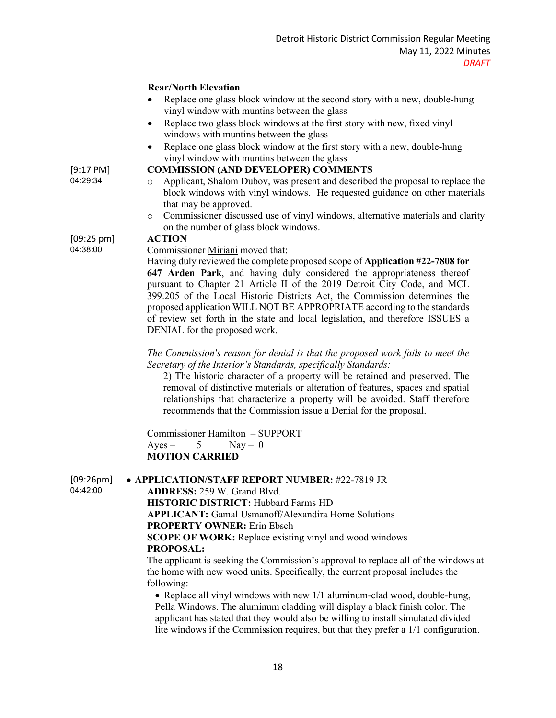## **Rear/North Elevation**

- Replace one glass block window at the second story with a new, double-hung vinyl window with muntins between the glass
- Replace two glass block windows at the first story with new, fixed vinyl windows with muntins between the glass
- Replace one glass block window at the first story with a new, double-hung vinyl window with muntins between the glass

#### **COMMISSION (AND DEVELOPER) COMMENTS**

- Applicant, Shalom Dubov, was present and described the proposal to replace the block windows with vinyl windows. He requested guidance on other materials that may be approved.
- o Commissioner discussed use of vinyl windows, alternative materials and clarity on the number of glass block windows.

#### [09:25 pm] 04:38:00 **ACTION**

[9:17 PM] 04:29:34

Commissioner Miriani moved that:

Having duly reviewed the complete proposed scope of **Application #22-7808 for 647 Arden Park**, and having duly considered the appropriateness thereof pursuant to Chapter 21 Article II of the 2019 Detroit City Code, and MCL 399.205 of the Local Historic Districts Act, the Commission determines the proposed application WILL NOT BE APPROPRIATE according to the standards of review set forth in the state and local legislation, and therefore ISSUES a DENIAL for the proposed work.

*The Commission's reason for denial is that the proposed work fails to meet the Secretary of the Interior's Standards, specifically Standards:* 

2) The historic character of a property will be retained and preserved. The removal of distinctive materials or alteration of features, spaces and spatial relationships that characterize a property will be avoided. Staff therefore recommends that the Commission issue a Denial for the proposal.

Commissioner Hamilton – SUPPORT  $Ayes - 5$  Nay – 0 **MOTION CARRIED**

 $[09:26]$ 04:42:00

| วิpm]<br>• APPLICATION/STAFF REPORT NUMBER: #22-7819 JR |  |  |
|---------------------------------------------------------|--|--|
|---------------------------------------------------------|--|--|

**ADDRESS:** 259 W. Grand Blvd.

**HISTORIC DISTRICT:** Hubbard Farms HD **APPLICANT:** Gamal Usmanoff/Alexandira Home Solutions **PROPERTY OWNER:** Erin Ebsch **SCOPE OF WORK:** Replace existing vinyl and wood windows **PROPOSAL:**

The applicant is seeking the Commission's approval to replace all of the windows at the home with new wood units. Specifically, the current proposal includes the following:

• Replace all vinyl windows with new 1/1 aluminum-clad wood, double-hung, Pella Windows. The aluminum cladding will display a black finish color. The applicant has stated that they would also be willing to install simulated divided lite windows if the Commission requires, but that they prefer a 1/1 configuration.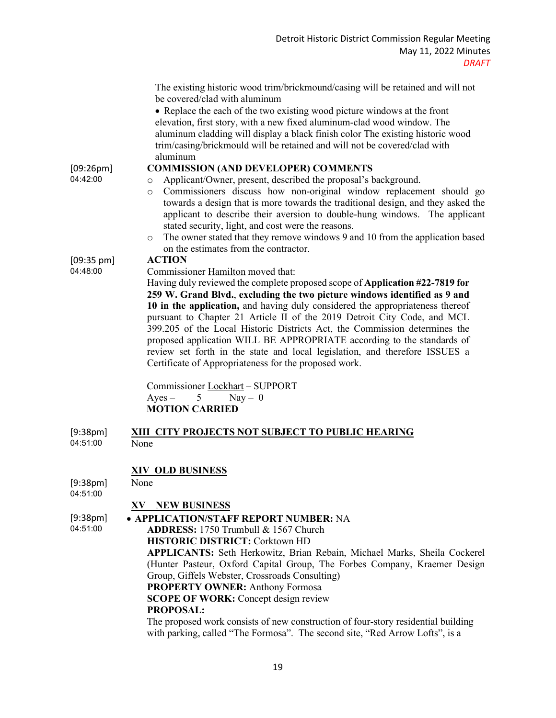|                      | The existing historic wood trim/brickmound/casing will be retained and will not<br>be covered/clad with aluminum<br>• Replace the each of the two existing wood picture windows at the front<br>elevation, first story, with a new fixed aluminum-clad wood window. The<br>aluminum cladding will display a black finish color The existing historic wood<br>trim/casing/brickmould will be retained and will not be covered/clad with<br>aluminum        |
|----------------------|-----------------------------------------------------------------------------------------------------------------------------------------------------------------------------------------------------------------------------------------------------------------------------------------------------------------------------------------------------------------------------------------------------------------------------------------------------------|
| [09:26pm]            | <b>COMMISSION (AND DEVELOPER) COMMENTS</b>                                                                                                                                                                                                                                                                                                                                                                                                                |
| 04:42:00             | Applicant/Owner, present, described the proposal's background.<br>$\circ$                                                                                                                                                                                                                                                                                                                                                                                 |
|                      | Commissioners discuss how non-original window replacement should go<br>$\circ$<br>towards a design that is more towards the traditional design, and they asked the<br>applicant to describe their aversion to double-hung windows. The applicant<br>stated security, light, and cost were the reasons.<br>The owner stated that they remove windows 9 and 10 from the application based<br>$\circ$<br>on the estimates from the contractor.               |
| $[09:35 \text{ pm}]$ | <b>ACTION</b>                                                                                                                                                                                                                                                                                                                                                                                                                                             |
| 04:48:00             | Commissioner Hamilton moved that:                                                                                                                                                                                                                                                                                                                                                                                                                         |
|                      | Having duly reviewed the complete proposed scope of Application #22-7819 for<br>259 W. Grand Blvd., excluding the two picture windows identified as 9 and                                                                                                                                                                                                                                                                                                 |
|                      | 10 in the application, and having duly considered the appropriateness thereof<br>pursuant to Chapter 21 Article II of the 2019 Detroit City Code, and MCL<br>399.205 of the Local Historic Districts Act, the Commission determines the<br>proposed application WILL BE APPROPRIATE according to the standards of<br>review set forth in the state and local legislation, and therefore ISSUES a<br>Certificate of Appropriateness for the proposed work. |
|                      | Commissioner Lockhart - SUPPORT                                                                                                                                                                                                                                                                                                                                                                                                                           |
|                      | $Ayes -$<br>5<br>$\text{Nay} - 0$                                                                                                                                                                                                                                                                                                                                                                                                                         |
|                      | <b>MOTION CARRIED</b>                                                                                                                                                                                                                                                                                                                                                                                                                                     |
|                      |                                                                                                                                                                                                                                                                                                                                                                                                                                                           |
| [9:38pm]<br>04:51:00 | XIII CITY PROJECTS NOT SUBJECT TO PUBLIC HEARING<br>None                                                                                                                                                                                                                                                                                                                                                                                                  |
|                      |                                                                                                                                                                                                                                                                                                                                                                                                                                                           |
|                      | <b>XIV OLD BUSINESS</b>                                                                                                                                                                                                                                                                                                                                                                                                                                   |
| [9:38pm]<br>04:51:00 | None                                                                                                                                                                                                                                                                                                                                                                                                                                                      |
|                      | <b>XV NEW BUSINESS</b>                                                                                                                                                                                                                                                                                                                                                                                                                                    |
| [9:38pm]             | • APPLICATION/STAFF REPORT NUMBER: NA                                                                                                                                                                                                                                                                                                                                                                                                                     |
| 04:51:00             |                                                                                                                                                                                                                                                                                                                                                                                                                                                           |
|                      | ADDRESS: 1750 Trumbull & 1567 Church                                                                                                                                                                                                                                                                                                                                                                                                                      |
|                      | <b>HISTORIC DISTRICT: Corktown HD</b>                                                                                                                                                                                                                                                                                                                                                                                                                     |

**APPLICANTS:** Seth Herkowitz, Brian Rebain, Michael Marks, Sheila Cockerel (Hunter Pasteur, Oxford Capital Group, The Forbes Company, Kraemer Design Group, Giffels Webster, Crossroads Consulting)

**PROPERTY OWNER:** Anthony Formosa

**SCOPE OF WORK:** Concept design review

## **PROPOSAL:**

The proposed work consists of new construction of four-story residential building with parking, called "The Formosa". The second site, "Red Arrow Lofts", is a